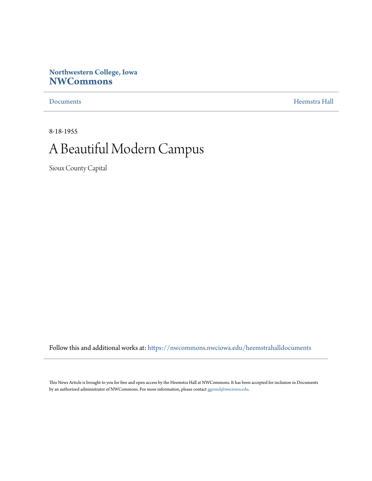#### **Northwestern College, Iowa [NWCommons](https://nwcommons.nwciowa.edu?utm_source=nwcommons.nwciowa.edu%2Fheemstrahalldocuments%2F7&utm_medium=PDF&utm_campaign=PDFCoverPages)**

[Documents](https://nwcommons.nwciowa.edu/heemstrahalldocuments?utm_source=nwcommons.nwciowa.edu%2Fheemstrahalldocuments%2F7&utm_medium=PDF&utm_campaign=PDFCoverPages) [Heemstra Hall](https://nwcommons.nwciowa.edu/heemstrahallcollection?utm_source=nwcommons.nwciowa.edu%2Fheemstrahalldocuments%2F7&utm_medium=PDF&utm_campaign=PDFCoverPages)

8-18-1955

#### A Beautiful Modern Campus

Sioux County Capital

Follow this and additional works at: [https://nwcommons.nwciowa.edu/heemstrahalldocuments](https://nwcommons.nwciowa.edu/heemstrahalldocuments?utm_source=nwcommons.nwciowa.edu%2Fheemstrahalldocuments%2F7&utm_medium=PDF&utm_campaign=PDFCoverPages)

This News Article is brought to you for free and open access by the Heemstra Hall at NWCommons. It has been accepted for inclusion in Documents by an authorized administrator of NWCommons. For more information, please contact  $\operatorname{ggrond}(\partial$ nwciowa.edu.